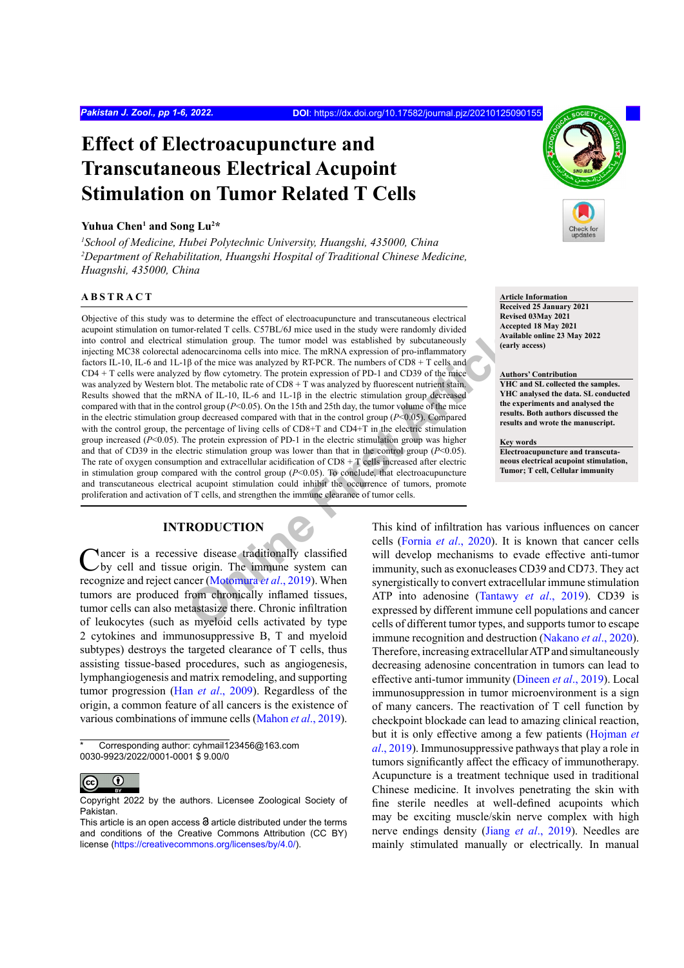# **Effect of Electroacupuncture and Transcutaneous Electrical Acupoint Stimulation on Tumor Related T Cells**

#### Yuhua Chen<sup>1</sup> and Song Lu<sup>2</sup>\*

*1 School of Medicine, Hubei Polytechnic University, Huangshi, 435000, China* <sup>2</sup>Department of Rehabilitation, Huangshi Hospital of Traditional Chinese Medicine, *Huagnshi, 435000, China*

# **ABSTRACT**

or-related T cells. C57BL/6J mice used in the study were randomly divided<br>
denocarcinom are ls into more model was established by subcutaneously<br>
denocarcinom are ls into mice C The mRNA expression of pro-inflammatory<br>
β Objective of this study was to determine the effect of electroacupuncture and transcutaneous electrical acupoint stimulation on tumor-related T cells. C57BL/6J mice used in the study were randomly divided into control and electrical stimulation group. The tumor model was established by subcutaneously injecting MC38 colorectal adenocarcinoma cells into mice. The mRNA expression of pro-inflammatory factors IL-10, IL-6 and 1L-1β of the mice was analyzed by RT-PCR. The numbers of CD8 + T cells and CD4 + T cells were analyzed by flow cytometry. The protein expression of PD-1 and CD39 of the mice was analyzed by Western blot. The metabolic rate of CD8 + T was analyzed by fluorescent nutrient stain. Results showed that the mRNA of IL-10, IL-6 and 1L-1 $\beta$  in the electric stimulation group decreased compared with that in the control group ( $P<0.05$ ). On the 15th and 25th day, the tumor volume of the mice in the electric stimulation group decreased compared with that in the control group (*P*<0.05). Compared with the control group, the percentage of living cells of CD8+T and CD4+T in the electric stimulation group increased (*P*<0.05). The protein expression of PD-1 in the electric stimulation group was higher and that of CD39 in the electric stimulation group was lower than that in the control group (*P*<0.05). The rate of oxygen consumption and extracellular acidification of  $CD8 + T$  cells increased after electric in stimulation group compared with the control group  $(P< 0.05)$ . To conclude, that electroacupuncture and transcutaneous electrical acupoint stimulation could inhibit the occurrence of tumors, promote proliferation and activation of T cells, and strengthen the immune clearance of tumor cells.

# **INTRODUCTION**

**Nancer** is a recessive disease traditionally classified by cell and tissue origin. The immune system can recognize and reject cancer (Motomura *et al*., 2019). When tumors are produced from chronically inflamed tissues, tumor cells can also metastasize there. Chronic infiltration of leukocytes (such as myeloid cells activated by type 2 cytokines and immunosuppressive B, T and myeloid subtypes) destroys the targeted clearance of T cells, thus assisting tissue-based procedures, such as angiogenesis, lymphangiogenesis and matrix remodeling, and supporting tumor progression (Han *et al*[., 2009](#page-4-0)). Regardless of the origin, a common feature of all cancers is the existence of various combinations of immune cells [\(Mahon](#page-5-1) *et al*., 2019).

Corresponding author: cyhmail123456@163.com 0030-9923/2022/0001-0001 \$ 9.00/0



**Article Information Received 25 January 2021 Revised 03May 2021 Accepted 18 May 2021 Available online 23 May 2022 (early access)**

#### **Authors' Contribution**

**YHC and SL collected the samples. YHC analysed the data. SL conducted the experiments and analysed the results. Both authors discussed the results and wrote the manuscript.**

**Key words Electroacupuncture and transcutaneous electrical acupoint stimulation, Tumor; T cell, Cellular immunity**

This kind of infiltration has various influences on cancer cells (Fornia *et al*., 2020). It is known that cancer cells will develop mechanisms to evade effective anti-tumor immunity, such as exonucleases CD39 and CD73. They act synergistically to convert extracellular immune stimulation ATP into adenosine (Tantawy *et al*., 2019). CD39 is expressed by different immune cell populations and cancer cells of different tumor types, and supports tumor to escape immune recognition and destruction [\(Nakano](#page-5-3) *et al*., 2020). Therefore, increasing extracellular ATP and simultaneously decreasing adenosine concentration in tumors can lead to effective anti-tumor immunity ([Dineen](#page-4-2) *et al*., 2019). Local immunosuppression in tumor microenvironment is a sign of many cancers. The reactivation of T cell function by checkpoint blockade can lead to amazing clinical reaction, but it is only effective among a few patients (Hojman *et al*., 2019). Immunosuppressive pathways that play a role in tumors significantly affect the efficacy of immunotherapy. Acupuncture is a treatment technique used in traditional Chinese medicine. It involves penetrating the skin with fine sterile needles at well-defined acupoints which may be exciting muscle/skin nerve complex with high nerve endings density (Jiang *et al*[., 2019](#page-5-4)). Needles are mainly stimulated manually or electrically. In manual

 $\bigcirc$ (cc

Copyright 2022 by the authors. Licensee Zoological Society of Pakistan.

This article is an open access  $\Theta$  article distributed under the terms and conditions of the Creative Commons Attribution (CC BY) license (<https://creativecommons.org/licenses/by/4.0/>).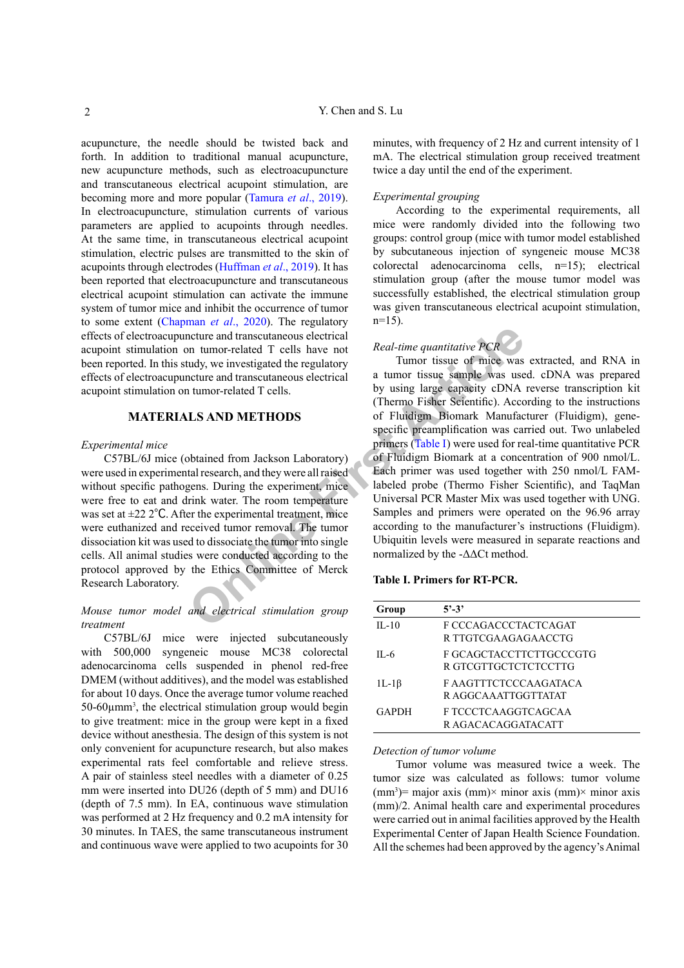acupuncture, the needle should be twisted back and forth. In addition to traditional manual acupuncture, new acupuncture methods, such as electroacupuncture and transcutaneous electrical acupoint stimulation, are becoming more and more popular ([Tamura](#page-5-5) *et al*., 2019). In electroacupuncture, stimulation currents of various parameters are applied to acupoints through needles. At the same time, in transcutaneous electrical acupoint stimulation, electric pulses are transmitted to the skin of acupoints through electrodes ([Huffman](#page-5-6) *et al*., 2019). It has been reported that electroacupuncture and transcutaneous electrical acupoint stimulation can activate the immune system of tumor mice and inhibit the occurrence of tumor to some extent ([Chapman](#page-4-3) *et al*., 2020). The regulatory effects of electroacupuncture and transcutaneous electrical acupoint stimulation on tumor-related T cells have not been reported. In this study, we investigated the regulatory effects of electroacupuncture and transcutaneous electrical acupoint stimulation on tumor-related T cells.

## **MATERIALS AND METHODS**

## *Experimental mice*

C57BL/6J mice (obtained from Jackson Laboratory) were used in experimental research, and they were all raised without specific pathogens. During the experiment, mice were free to eat and drink water. The room temperature was set at  $\pm 22$  2°C. After the experimental treatment, mice were euthanized and received tumor removal. The tumor dissociation kit was used to dissociate the tumor into single cells. All animal studies were conducted according to the protocol approved by the Ethics Committee of Merck Research Laboratory.

# *Mouse tumor model and electrical stimulation group treatment*

C57BL/6J mice were injected subcutaneously with 500,000 syngeneic mouse MC38 colorectal adenocarcinoma cells suspended in phenol red-free DMEM (without additives), and the model was established for about 10 days. Once the average tumor volume reached  $50-60\mu$ mm<sup>3</sup>, the electrical stimulation group would begin to give treatment: mice in the group were kept in a fixed device without anesthesia. The design of this system is not only convenient for acupuncture research, but also makes experimental rats feel comfortable and relieve stress. A pair of stainless steel needles with a diameter of 0.25 mm were inserted into DU26 (depth of 5 mm) and DU16 (depth of 7.5 mm). In EA, continuous wave stimulation was performed at 2 Hz frequency and 0.2 mA intensity for 30 minutes. In TAES, the same transcutaneous instrument and continuous wave were applied to two acupoints for 30

minutes, with frequency of 2 Hz and current intensity of 1 mA. The electrical stimulation group received treatment twice a day until the end of the experiment.

#### *Experimental grouping*

According to the experimental requirements, all mice were randomly divided into the following two groups: control group (mice with tumor model established by subcutaneous injection of syngeneic mouse MC38 colorectal adenocarcinoma cells, n=15); electrical stimulation group (after the mouse tumor model was successfully established, the electrical stimulation group was given transcutaneous electrical acupoint stimulation,  $n=15$ ).

#### *Real-time quantitative PCR*

metrical<br>
metrical<br>
metrical<br>
metrical<br>
metrical<br>
metrical<br>
metrical<br>
metrical<br>
metrical<br>
metrical<br>
metrical<br>
metrical<br>
metrical<br>
metrical<br>
a tumor tissue of mice was<br>
tumor tissue of mice was<br>
tumor-related T cells.<br>
U.S Tumor tissue of mice was extracted, and RNA in a tumor tissue sample was used. cDNA was prepared by using large capacity cDNA reverse transcription kit (Thermo Fisher Scientific). According to the instructions of Fluidigm Biomark Manufacturer (Fluidigm), genespecific preamplification was carried out. Two unlabeled primers (Table I) were used for real-time quantitative PCR of Fluidigm Biomark at a concentration of 900 nmol/L. Each primer was used together with 250 nmol/L FAMlabeled probe (Thermo Fisher Scientific), and TaqMan Universal PCR Master Mix was used together with UNG. Samples and primers were operated on the 96.96 array according to the manufacturer's instructions (Fluidigm). Ubiquitin levels were measured in separate reactions and normalized by the -ΔΔCt method.

#### <span id="page-1-0"></span>**Table I. Primers for RT-PCR.**

| Group        | $5' - 3'$                                       |
|--------------|-------------------------------------------------|
| $II - 10$    | F CCCAGACCCTACTCAGAT<br>R TTGTCGAAGAGAACCTG     |
| II -6        | F GCAGCTACCTTCTTGCCCGTG<br>R GTCGTTGCTCTCTCCTTG |
| $1L-1\beta$  | F AAGTTTCTCCCAAGATACA<br>R AGGCAAATTGGTTATAT    |
| <b>GAPDH</b> | F TCCCTCAAGGTCAGCAA<br>R AGACACAGGATACATT       |

#### *Detection of tumor volume*

Tumor volume was measured twice a week. The tumor size was calculated as follows: tumor volume  $(nm<sup>3</sup>)$  = major axis  $(mm)$  minor axis  $(mm)$  minor axis (mm)/2. Animal health care and experimental procedures were carried out in animal facilities approved by the Health Experimental Center of Japan Health Science Foundation. All the schemes had been approved by the agency's Animal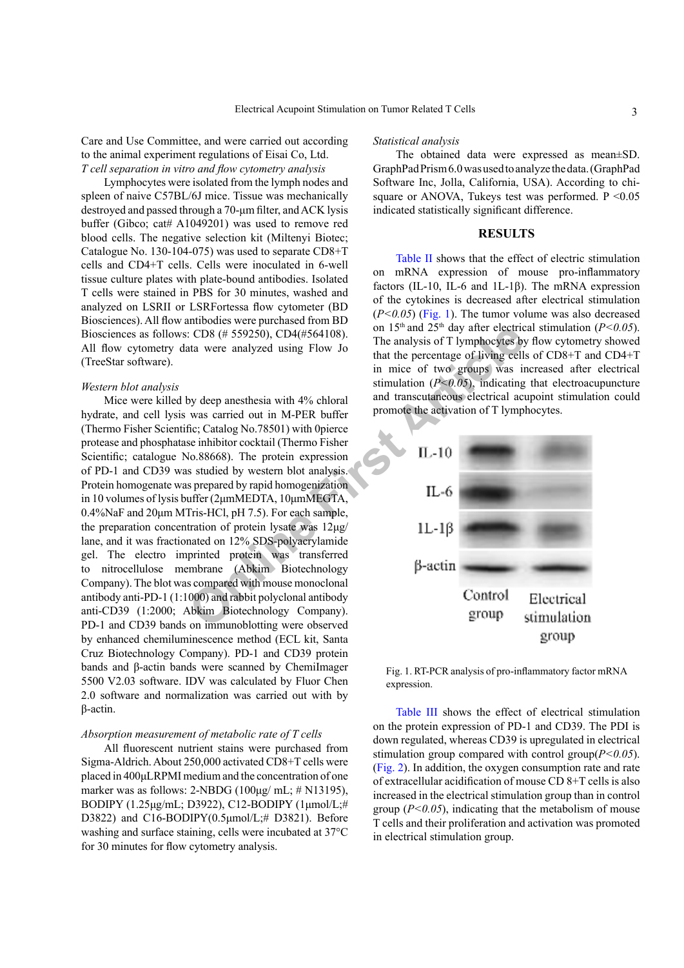Care and Use Committee, and were carried out according to the animal experiment regulations of Eisai Co, Ltd. *T cell separation in vitro and flow cytometry analysis*

Lymphocytes were isolated from the lymph nodes and spleen of naive C57BL/6J mice. Tissue was mechanically destroyed and passed through a 70-μm filter, and ACK lysis buffer (Gibco; cat# A1049201) was used to remove red blood cells. The negative selection kit (Miltenyi Biotec; Catalogue No. 130-104-075) was used to separate CD8+T cells and CD4+T cells. Cells were inoculated in 6-well tissue culture plates with plate-bound antibodies. Isolated T cells were stained in PBS for 30 minutes, washed and analyzed on LSRII or LSRFortessa flow cytometer (BD Biosciences). All flow antibodies were purchased from BD Biosciences as follows: CD8 (# 559250), CD4(#564108). All flow cytometry data were analyzed using Flow Jo (TreeStar software).

#### *Western blot analysis*

**COS (# 559250), CD4(#564108).** CD8 (# 559250), CD4(#564108).<br>
ata were analyzed using Flow Jo<br>
that the percentage of living cell<br>
in mice of two groups was in<br>
timulation ( $P \le 0.05$ ), indicating<br>
by deep anesthesia wit Mice were killed by deep anesthesia with 4% chloral hydrate, and cell lysis was carried out in M-PER buffer (Thermo Fisher Scientific; Catalog No.78501) with 0pierce protease and phosphatase inhibitor cocktail (Thermo Fisher Scientific; catalogue No.88668). The protein expression of PD-1 and CD39 was studied by western blot analysis. Protein homogenate was prepared by rapid homogenization in 10 volumes of lysis buffer (2μmMEDTA, 10μmMEGTA, 0.4%NaF and 20μm MTris-HCl, pH 7.5). For each sample, the preparation concentration of protein lysate was 12μg/ lane, and it was fractionated on 12% SDS-polyacrylamide gel. The electro imprinted protein was transferred to nitrocellulose membrane (Abkim Biotechnology Company). The blot was compared with mouse monoclonal antibody anti-PD-1 (1:1000) and rabbit polyclonal antibody anti-CD39 (1:2000; Abkim Biotechnology Company). PD-1 and CD39 bands on immunoblotting were observed by enhanced chemiluminescence method (ECL kit, Santa Cruz Biotechnology Company). PD-1 and CD39 protein bands and β-actin bands were scanned by ChemiImager 5500 V2.03 software. IDV was calculated by Fluor Chen 2.0 software and normalization was carried out with by β-actin.

## *Absorption measurement of metabolic rate of T cells*

All fluorescent nutrient stains were purchased from Sigma-Aldrich. About 250,000 activated CD8+T cells were placed in 400μLRPMI medium and the concentration of one marker was as follows:  $2-\text{NBDG}$  (100µg/ mL;  $\#$  N13195), BODIPY (1.25μg/mL; D3922), C12-BODIPY (1μmol/L;# D3822) and C16-BODIPY(0.5μmol/L;# D3821). Before washing and surface staining, cells were incubated at 37°C for 30 minutes for flow cytometry analysis.

## *Statistical analysis*

The obtained data were expressed as mean±SD. GraphPad Prism 6.0 was used to analyze the data. (GraphPad Software Inc, Jolla, California, USA). According to chisquare or ANOVA, Tukeys test was performed.  $P \le 0.05$ indicated statistically significant difference.

## **RESULTS**

[Table II](#page-3-0) shows that the effect of electric stimulation on mRNA expression of mouse pro-inflammatory factors (IL-10, IL-6 and 1L-1 $\beta$ ). The mRNA expression of the cytokines is decreased after electrical stimulation (*P<0.05*) [\(Fig. 1](#page-2-0)). The tumor volume was also decreased on 15<sup>th</sup> and 25<sup>th</sup> day after electrical stimulation ( $P < 0.05$ ). The analysis of T lymphocytes by flow cytometry showed that the percentage of living cells of CD8+T and CD4+T in mice of two groups was increased after electrical stimulation  $(P<0.05)$ , indicating that electroacupuncture and transcutaneous electrical acupoint stimulation could promote the activation of T lymphocytes.



<span id="page-2-0"></span>Fig. 1. RT-PCR analysis of pro-inflammatory factor mRNA expression.

[Table III](#page-3-1) shows the effect of electrical stimulation on the protein expression of PD-1 and CD39. The PDI is down regulated, whereas CD39 is upregulated in electrical stimulation group compared with control group(*P<0.05*). [\(Fig. 2](#page-3-2)). In addition, the oxygen consumption rate and rate of extracellular acidification of mouse CD 8+T cells is also increased in the electrical stimulation group than in control group  $(P<0.05)$ , indicating that the metabolism of mouse T cells and their proliferation and activation was promoted in electrical stimulation group.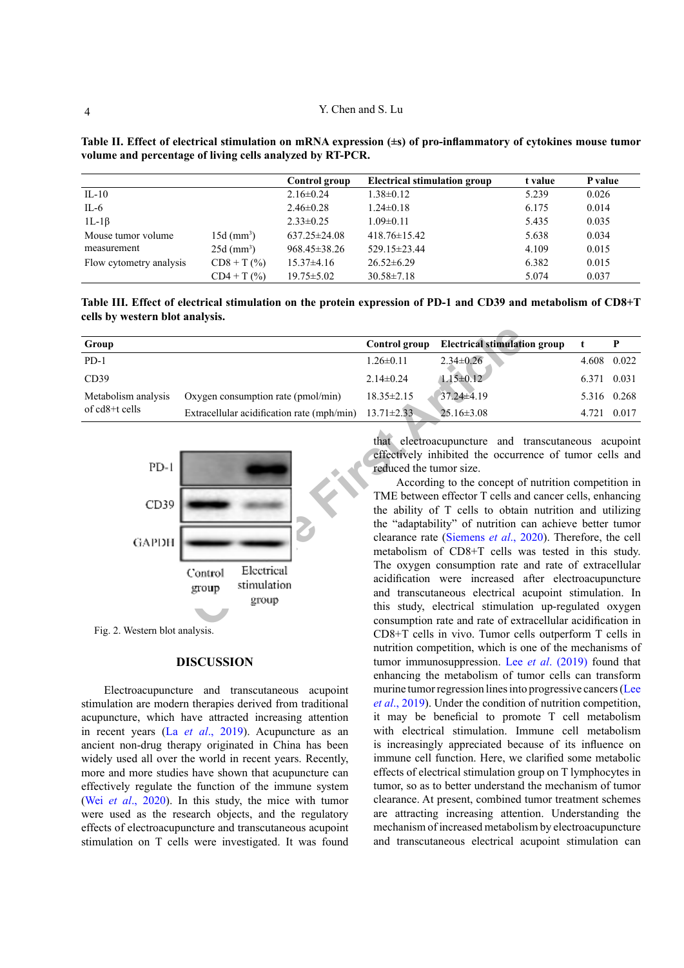|                         |                          | Control group      | <b>Electrical stimulation group</b> | t value | P value |
|-------------------------|--------------------------|--------------------|-------------------------------------|---------|---------|
| $IL-10$                 |                          | $2.16\pm0.24$      | $1.38 \pm 0.12$                     | 5.239   | 0.026   |
| IL-6                    |                          | $2.46 \pm 0.28$    | $1.24 \pm 0.18$                     | 6.175   | 0.014   |
| $1L-1\beta$             |                          | $2.33 \pm 0.25$    | $1.09 \pm 0.11$                     | 5.435   | 0.035   |
| Mouse tumor volume      | $15d$ (mm <sup>3</sup> ) | $637.25 \pm 24.08$ | $418.76 \pm 15.42$                  | 5.638   | 0.034   |
| measurement             | $25d$ (mm <sup>3</sup> ) | $968.45 \pm 38.26$ | 529.15±23.44                        | 4.109   | 0.015   |
| Flow cytometry analysis | $CD8 + T$ (%)            | $15.37\pm4.16$     | $26.52 \pm 6.29$                    | 6.382   | 0.015   |
|                         | $CD4 + T$ (%)            | $19.75 \pm 5.02$   | $30.58 \pm 7.18$                    | 5.074   | 0.037   |

<span id="page-3-0"></span>**Table II. Effect of electrical stimulation on mRNA expression (±s) of pro-inflammatory of cytokines mouse tumor volume and percentage of living cells analyzed by RT-PCR.**

<span id="page-3-1"></span>**Table III. Effect of electrical stimulation on the protein expression of PD-1 and CD39 and metabolism of CD8+T cells by western blot analysis.**

| Group                                 |                                                        | Control group           | <b>Electrical stimulation group</b>                                                                                                                                                                                                                                                                                                                                                                                                                                                                                                                                                                                                                                                                                                                                                  |       | P           |
|---------------------------------------|--------------------------------------------------------|-------------------------|--------------------------------------------------------------------------------------------------------------------------------------------------------------------------------------------------------------------------------------------------------------------------------------------------------------------------------------------------------------------------------------------------------------------------------------------------------------------------------------------------------------------------------------------------------------------------------------------------------------------------------------------------------------------------------------------------------------------------------------------------------------------------------------|-------|-------------|
| $PD-1$                                |                                                        | $1.26 \pm 0.11$         | $2.34 \pm 0.26$                                                                                                                                                                                                                                                                                                                                                                                                                                                                                                                                                                                                                                                                                                                                                                      | 4.608 | 0.022       |
| CD39                                  |                                                        | $2.14 \pm 0.24$         | $1.15 \pm 0.12$                                                                                                                                                                                                                                                                                                                                                                                                                                                                                                                                                                                                                                                                                                                                                                      | 6.371 | 0.031       |
| Metabolism analysis<br>of cd8+t cells | Oxygen consumption rate (pmol/min)                     | $18.35 \pm 2.15$        | 37.24±4.19                                                                                                                                                                                                                                                                                                                                                                                                                                                                                                                                                                                                                                                                                                                                                                           |       | 5.316 0.268 |
|                                       | Extracellular acidification rate (mph/min)             | $13.71 \pm 2.33$        | $25.16 \pm 3.08$                                                                                                                                                                                                                                                                                                                                                                                                                                                                                                                                                                                                                                                                                                                                                                     |       | 4.721 0.017 |
| $PD-1$<br>CD39<br><b>GAPDH</b>        | Electrical<br>Control<br>stimulation<br>group<br>group | reduced the tumor size. | that electroacupuncture and transcutaneous acupoint<br>effectively inhibited the occurrence of tumor cells and<br>According to the concept of nutrition competition in<br>TME between effector T cells and cancer cells, enhancing<br>the ability of T cells to obtain nutrition and utilizing<br>the "adaptability" of nutrition can achieve better tumor<br>clearance rate (Siemens et al., 2020). Therefore, the cell<br>metabolism of CD8+T cells was tested in this study.<br>The oxygen consumption rate and rate of extracellular<br>acidification were increased after electroacupuncture<br>and transcutaneous electrical acupoint stimulation. In<br>this study, electrical stimulation up-regulated oxygen<br>consumption rate and rate of extracellular acidification in |       |             |



<span id="page-3-2"></span>Fig. 2. Western blot analysis.

# **DISCUSSION**

Electroacupuncture and transcutaneous acupoint stimulation are modern therapies derived from traditional acupuncture, which have attracted increasing attention in recent years (La *et al*[., 2019](#page-5-7)). Acupuncture as an ancient non-drug therapy originated in China has been widely used all over the world in recent years. Recently, more and more studies have shown that acupuncture can effectively regulate the function of the immune system (Wei *et al*[., 2020](#page-5-8)). In this study, the mice with tumor were used as the research objects, and the regulatory effects of electroacupuncture and transcutaneous acupoint stimulation on T cells were investigated. It was found

According to the concept of nutrition competition in TME between effector T cells and cancer cells, enhancing the ability of T cells to obtain nutrition and utilizing the "adaptability" of nutrition can achieve better tumor clearance rate (Siemens *et al*., 2020). Therefore, the cell metabolism of CD8+T cells was tested in this study. The oxygen consumption rate and rate of extracellular acidification were increased after electroacupuncture and transcutaneous electrical acupoint stimulation. In this study, electrical stimulation up-regulated oxygen consumption rate and rate of extracellular acidification in CD8+T cells in vivo. Tumor cells outperform T cells in nutrition competition, which is one of the mechanisms of tumor immunosuppression. Lee *et al*[. \(2019](#page-5-10)) found that enhancing the metabolism of tumor cells can transform murine tumor regression lines into progressive cancers ([Lee](#page-5-10)  *et al*[., 2019\)](#page-5-10). Under the condition of nutrition competition, it may be beneficial to promote T cell metabolism with electrical stimulation. Immune cell metabolism is increasingly appreciated because of its influence on immune cell function. Here, we clarified some metabolic effects of electrical stimulation group on T lymphocytes in tumor, so as to better understand the mechanism of tumor clearance. At present, combined tumor treatment schemes are attracting increasing attention. Understanding the mechanism of increased metabolism by electroacupuncture and transcutaneous electrical acupoint stimulation can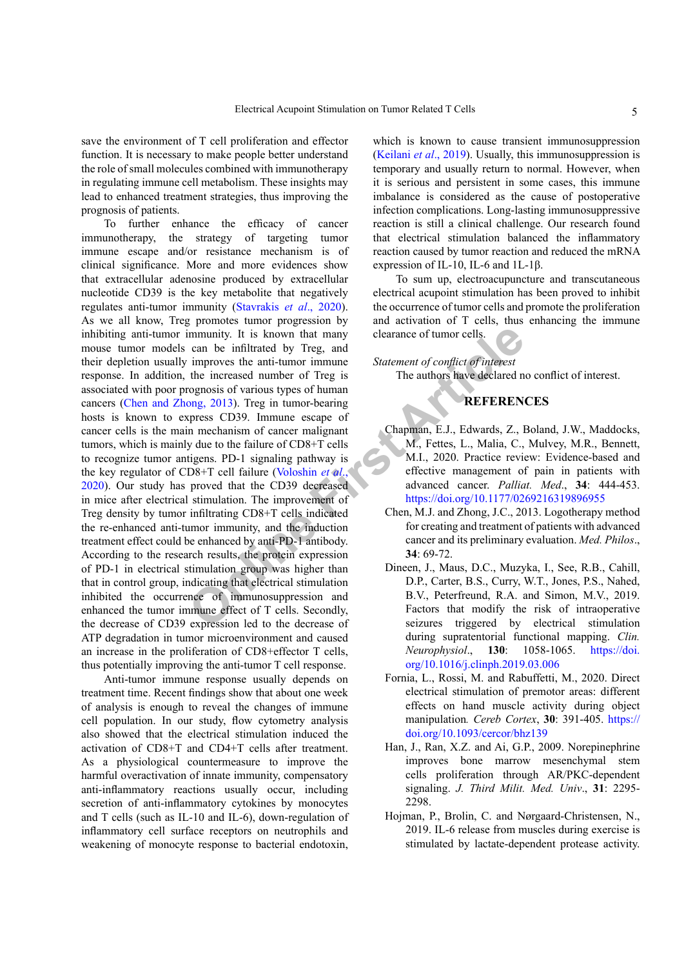save the environment of T cell proliferation and effector function. It is necessary to make people better understand the role of small molecules combined with immunotherapy in regulating immune cell metabolism. These insights may lead to enhanced treatment strategies, thus improving the prognosis of patients.

**Example 18 and 18 and 18 and 18 and 18 and 18 and 18 and 18 and 18 and 18 and 18 and 18 and 18 and 18 and 18 and 18 and 18 and 18 and 18 and 18 and 18 and 18 and 18 and 18 and 18 and 18 and 18 and 18 and 18 and 18 and 18** To further enhance the efficacy of cancer immunotherapy, the strategy of targeting tumor immune escape and/or resistance mechanism is of clinical significance. More and more evidences show that extracellular adenosine produced by extracellular nucleotide CD39 is the key metabolite that negatively regulates anti-tumor immunity ([Stavrakis](#page-5-11) *et al*., 2020). As we all know, Treg promotes tumor progression by inhibiting anti-tumor immunity. It is known that many mouse tumor models can be infiltrated by Treg, and their depletion usually improves the anti-tumor immune response. In addition, the increased number of Treg is associated with poor prognosis of various types of human cancers ([Chen and Zhong, 2013](#page-4-4)). Treg in tumor-bearing hosts is known to express CD39. Immune escape of cancer cells is the main mechanism of cancer malignant tumors, which is mainly due to the failure of CD8+T cells to recognize tumor antigens. PD-1 signaling pathway is the key regulator of CD8+T cell failure (Voloshin *et al*., [2020](#page-5-12)). Our study has proved that the CD39 decreased in mice after electrical stimulation. The improvement of Treg density by tumor infiltrating CD8+T cells indicated the re-enhanced anti-tumor immunity, and the induction treatment effect could be enhanced by anti-PD-1 antibody. According to the research results, the protein expression of PD-1 in electrical stimulation group was higher than that in control group, indicating that electrical stimulation inhibited the occurrence of immunosuppression and enhanced the tumor immune effect of T cells. Secondly, the decrease of CD39 expression led to the decrease of ATP degradation in tumor microenvironment and caused an increase in the proliferation of CD8+effector T cells, thus potentially improving the anti-tumor T cell response.

Anti-tumor immune response usually depends on treatment time. Recent findings show that about one week of analysis is enough to reveal the changes of immune cell population. In our study, flow cytometry analysis also showed that the electrical stimulation induced the activation of CD8+T and CD4+T cells after treatment. As a physiological countermeasure to improve the harmful overactivation of innate immunity, compensatory anti-inflammatory reactions usually occur, including secretion of anti-inflammatory cytokines by monocytes and T cells (such as IL-10 and IL-6), down-regulation of inflammatory cell surface receptors on neutrophils and weakening of monocyte response to bacterial endotoxin,

which is known to cause transient immunosuppression ([Keilani](#page-5-13) *et al*., 2019). Usually, this immunosuppression is temporary and usually return to normal. However, when it is serious and persistent in some cases, this immune imbalance is considered as the cause of postoperative infection complications. Long-lasting immunosuppressive reaction is still a clinical challenge. Our research found that electrical stimulation balanced the inflammatory reaction caused by tumor reaction and reduced the mRNA expression of IL-10, IL-6 and 1L-1β.

To sum up, electroacupuncture and transcutaneous electrical acupoint stimulation has been proved to inhibit the occurrence of tumor cells and promote the proliferation and activation of T cells, thus enhancing the immune clearance of tumor cells.

*Statement of conflict of interest*

The authors have declared no conflict of interest.

# **REFERENCES**

- <span id="page-4-3"></span>Chapman, E.J., Edwards, Z., Boland, J.W., Maddocks, M., Fettes, L., Malia, C., Mulvey, M.R., Bennett, M.I., 2020. Practice review: Evidence-based and effective management of pain in patients with advanced cancer. *Palliat. Med*., **34**: 444-453. <https://doi.org/10.1177/0269216319896955>
- <span id="page-4-4"></span>Chen, M.J. and Zhong, J.C., 2013. Logotherapy method for creating and treatment of patients with advanced cancer and its preliminary evaluation. *Med. Philos*., **34**: 69-72.
- <span id="page-4-2"></span>Dineen, J., Maus, D.C., Muzyka, I., See, R.B., Cahill, D.P., Carter, B.S., Curry, W.T., Jones, P.S., Nahed, B.V., Peterfreund, R.A. and Simon, M.V., 2019. Factors that modify the risk of intraoperative seizures triggered by electrical stimulation during supratentorial functional mapping. *Clin. Neurophysiol*., **130**: 1058-1065. [https://doi.](https://doi.org/10.1016/j.clinph.2019.03.006) [org/10.1016/j.clinph.2019.03.006](https://doi.org/10.1016/j.clinph.2019.03.006)
- <span id="page-4-1"></span>Fornia, L., Rossi, M. and Rabuffetti, M., 2020. Direct electrical stimulation of premotor areas: different effects on hand muscle activity during object manipulation*. Cereb Cortex*, **30**: 391-405. [https://](https://doi.org/10.1093/cercor/bhz139) [doi.org/10.1093/cercor/bhz139](https://doi.org/10.1093/cercor/bhz139)
- <span id="page-4-0"></span>Han, J., Ran, X.Z. and Ai, G.P., 2009. Norepinephrine improves bone marrow mesenchymal stem cells proliferation through AR/PKC-dependent signaling. *J. Third Milit. Med. Univ*., **31**: 2295- 2298.
- Hojman, P., Brolin, C. and Nørgaard-Christensen, N., 2019. IL-6 release from muscles during exercise is stimulated by lactate-dependent protease activity.